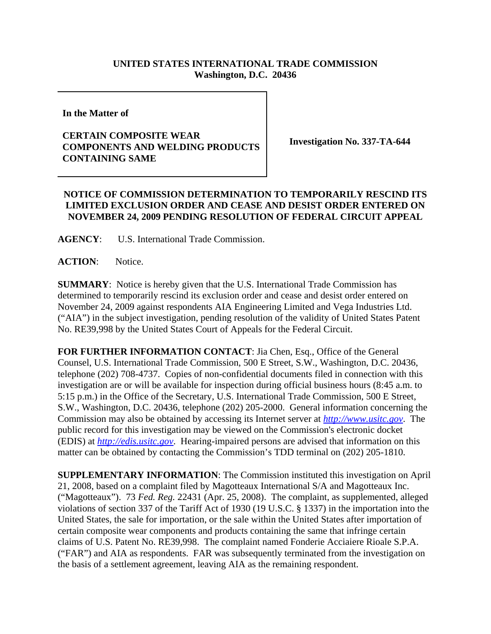## **UNITED STATES INTERNATIONAL TRADE COMMISSION Washington, D.C. 20436**

**In the Matter of** 

## **CERTAIN COMPOSITE WEAR COMPONENTS AND WELDING PRODUCTS CONTAINING SAME**

**Investigation No. 337-TA-644**

## **NOTICE OF COMMISSION DETERMINATION TO TEMPORARILY RESCIND ITS LIMITED EXCLUSION ORDER AND CEASE AND DESIST ORDER ENTERED ON NOVEMBER 24, 2009 PENDING RESOLUTION OF FEDERAL CIRCUIT APPEAL**

**AGENCY**: U.S. International Trade Commission.

**ACTION**: Notice.

**SUMMARY**: Notice is hereby given that the U.S. International Trade Commission has determined to temporarily rescind its exclusion order and cease and desist order entered on November 24, 2009 against respondents AIA Engineering Limited and Vega Industries Ltd. ("AIA") in the subject investigation, pending resolution of the validity of United States Patent No. RE39,998 by the United States Court of Appeals for the Federal Circuit.

**FOR FURTHER INFORMATION CONTACT**: Jia Chen, Esq., Office of the General Counsel, U.S. International Trade Commission, 500 E Street, S.W., Washington, D.C. 20436, telephone (202) 708-4737. Copies of non-confidential documents filed in connection with this investigation are or will be available for inspection during official business hours (8:45 a.m. to 5:15 p.m.) in the Office of the Secretary, U.S. International Trade Commission, 500 E Street, S.W., Washington, D.C. 20436, telephone (202) 205-2000. General information concerning the Commission may also be obtained by accessing its Internet server at *http://www.usitc.gov*. The public record for this investigation may be viewed on the Commission's electronic docket (EDIS) at *http://edis.usitc.gov*. Hearing-impaired persons are advised that information on this matter can be obtained by contacting the Commission's TDD terminal on (202) 205-1810.

**SUPPLEMENTARY INFORMATION**: The Commission instituted this investigation on April 21, 2008, based on a complaint filed by Magotteaux International S/A and Magotteaux Inc. ("Magotteaux"). 73 *Fed. Reg.* 22431 (Apr. 25, 2008). The complaint, as supplemented, alleged violations of section 337 of the Tariff Act of 1930 (19 U.S.C. § 1337) in the importation into the United States, the sale for importation, or the sale within the United States after importation of certain composite wear components and products containing the same that infringe certain claims of U.S. Patent No. RE39,998. The complaint named Fonderie Acciaiere Rioale S.P.A. ("FAR") and AIA as respondents. FAR was subsequently terminated from the investigation on the basis of a settlement agreement, leaving AIA as the remaining respondent.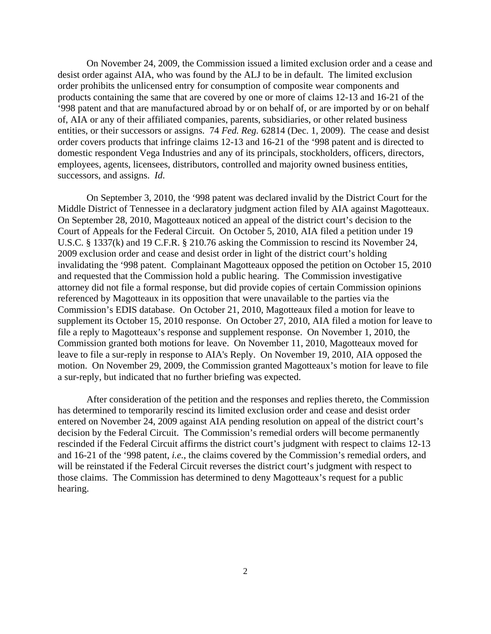On November 24, 2009, the Commission issued a limited exclusion order and a cease and desist order against AIA, who was found by the ALJ to be in default. The limited exclusion order prohibits the unlicensed entry for consumption of composite wear components and products containing the same that are covered by one or more of claims 12-13 and 16-21 of the '998 patent and that are manufactured abroad by or on behalf of, or are imported by or on behalf of, AIA or any of their affiliated companies, parents, subsidiaries, or other related business entities, or their successors or assigns. 74 *Fed. Reg.* 62814 (Dec. 1, 2009). The cease and desist order covers products that infringe claims 12-13 and 16-21 of the '998 patent and is directed to domestic respondent Vega Industries and any of its principals, stockholders, officers, directors, employees, agents, licensees, distributors, controlled and majority owned business entities, successors, and assigns. *Id*.

On September 3, 2010, the '998 patent was declared invalid by the District Court for the Middle District of Tennessee in a declaratory judgment action filed by AIA against Magotteaux. On September 28, 2010, Magotteaux noticed an appeal of the district court's decision to the Court of Appeals for the Federal Circuit. On October 5, 2010, AIA filed a petition under 19 U.S.C. § 1337(k) and 19 C.F.R. § 210.76 asking the Commission to rescind its November 24, 2009 exclusion order and cease and desist order in light of the district court's holding invalidating the '998 patent. Complainant Magotteaux opposed the petition on October 15, 2010 and requested that the Commission hold a public hearing. The Commission investigative attorney did not file a formal response, but did provide copies of certain Commission opinions referenced by Magotteaux in its opposition that were unavailable to the parties via the Commission's EDIS database. On October 21, 2010, Magotteaux filed a motion for leave to supplement its October 15, 2010 response. On October 27, 2010, AIA filed a motion for leave to file a reply to Magotteaux's response and supplement response. On November 1, 2010, the Commission granted both motions for leave. On November 11, 2010, Magotteaux moved for leave to file a sur-reply in response to AIA's Reply. On November 19, 2010, AIA opposed the motion. On November 29, 2009, the Commission granted Magotteaux's motion for leave to file a sur-reply, but indicated that no further briefing was expected.

After consideration of the petition and the responses and replies thereto, the Commission has determined to temporarily rescind its limited exclusion order and cease and desist order entered on November 24, 2009 against AIA pending resolution on appeal of the district court's decision by the Federal Circuit. The Commission's remedial orders will become permanently rescinded if the Federal Circuit affirms the district court's judgment with respect to claims 12-13 and 16-21 of the '998 patent, *i.e.*, the claims covered by the Commission's remedial orders, and will be reinstated if the Federal Circuit reverses the district court's judgment with respect to those claims. The Commission has determined to deny Magotteaux's request for a public hearing.